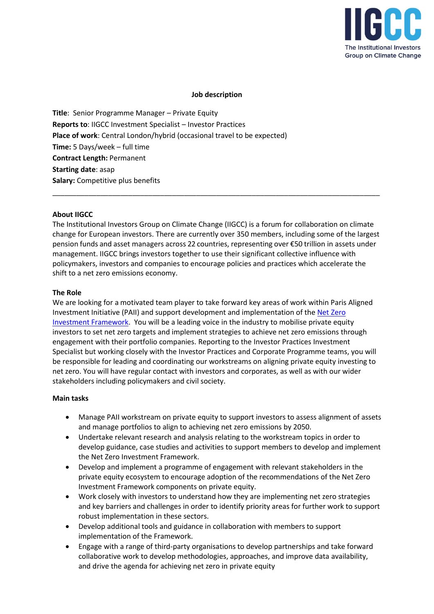

# **Job description**

**Title**: Senior Programme Manager – Private Equity **Reports to**: IIGCC Investment Specialist – Investor Practices **Place of work**: Central London/hybrid (occasional travel to be expected) **Time:** 5 Days/week – full time **Contract Length:** Permanent **Starting date**: asap **Salary:** Competitive plus benefits

#### **About IIGCC**

The Institutional Investors Group on Climate Change (IIGCC) is a forum for collaboration on climate change for European investors. There are currently over 350 members, including some of the largest pension funds and asset managers across 22 countries, representing over €50 trillion in assets under management. IIGCC brings investors together to use their significant collective influence with policymakers, investors and companies to encourage policies and practices which accelerate the shift to a net zero emissions economy.

\_\_\_\_\_\_\_\_\_\_\_\_\_\_\_\_\_\_\_\_\_\_\_\_\_\_\_\_\_\_\_\_\_\_\_\_\_\_\_\_\_\_\_\_\_\_\_\_\_\_\_\_\_\_\_\_\_\_\_\_\_\_\_\_\_\_\_\_\_\_\_\_\_\_\_\_\_\_\_\_\_\_

#### **The Role**

We are looking for a motivated team player to take forward key areas of work within Paris Aligned Investment Initiative (PAII) and support development and implementation of the [Net Zero](https://www.parisalignedinvestment.org/media/2021/03/PAII-Net-Zero-Investment-Framework_Implementation-Guide.pdf)  [Investment Framework.](https://www.parisalignedinvestment.org/media/2021/03/PAII-Net-Zero-Investment-Framework_Implementation-Guide.pdf) You will be a leading voice in the industry to mobilise private equity investors to set net zero targets and implement strategies to achieve net zero emissions through engagement with their portfolio companies. Reporting to the Investor Practices Investment Specialist but working closely with the Investor Practices and Corporate Programme teams, you will be responsible for leading and coordinating our workstreams on aligning private equity investing to net zero. You will have regular contact with investors and corporates, as well as with our wider stakeholders including policymakers and civil society.

#### **Main tasks**

- Manage PAII workstream on private equity to support investors to assess alignment of assets and manage portfolios to align to achieving net zero emissions by 2050.
- Undertake relevant research and analysis relating to the workstream topics in order to develop guidance, case studies and activities to support members to develop and implement the Net Zero Investment Framework.
- Develop and implement a programme of engagement with relevant stakeholders in the private equity ecosystem to encourage adoption of the recommendations of the Net Zero Investment Framework components on private equity.
- Work closely with investors to understand how they are implementing net zero strategies and key barriers and challenges in order to identify priority areas for further work to support robust implementation in these sectors.
- Develop additional tools and guidance in collaboration with members to support implementation of the Framework.
- Engage with a range of third-party organisations to develop partnerships and take forward collaborative work to develop methodologies, approaches, and improve data availability, and drive the agenda for achieving net zero in private equity